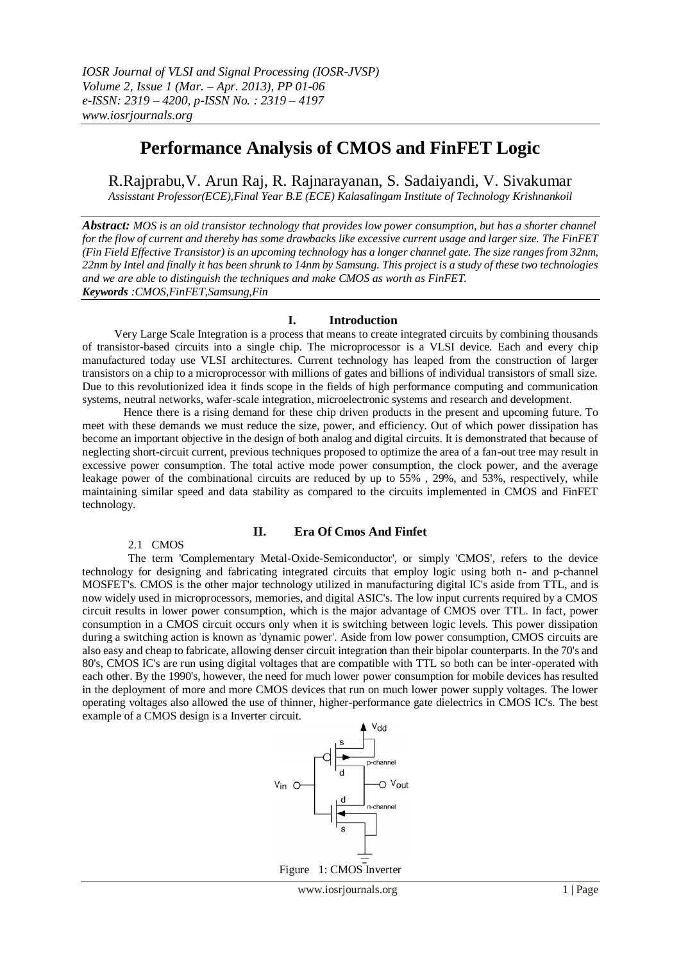# **Performance Analysis of CMOS and FinFET Logic**

R.Rajprabu,V. Arun Raj, R. Rajnarayanan, S. Sadaiyandi, V. Sivakumar *Assisstant Professor(ECE),Final Year B.E (ECE) Kalasalingam Institute of Technology Krishnankoil*

*Abstract: MOS is an old transistor technology that provides low power consumption, but has a shorter channel for the flow of current and thereby has some drawbacks like excessive current usage and larger size. The FinFET (Fin Field Effective Transistor) is an upcoming technology has a longer channel gate. The size ranges from 32nm, 22nm by Intel and finally it has been shrunk to 14nm by Samsung. This project is a study of these two technologies and we are able to distinguish the techniques and make CMOS as worth as FinFET. Keywords :CMOS,FinFET,Samsung,Fin* 

# **I. Introduction**

 Very Large Scale Integration is a process that means to create integrated circuits by combining thousands of transistor-based circuits into a single chip. The microprocessor is a VLSI device. Each and every chip manufactured today use VLSI architectures. Current technology has leaped from the construction of larger transistors on a chip to a microprocessor with millions of gates and billions of individual transistors of small size. Due to this revolutionized idea it finds scope in the fields of high performance computing and communication systems, neutral networks, wafer-scale integration, microelectronic systems and research and development.

Hence there is a rising demand for these chip driven products in the present and upcoming future. To meet with these demands we must reduce the size, power, and efficiency. Out of which power dissipation has become an important objective in the design of both analog and digital circuits. It is demonstrated that because of neglecting short-circuit current, previous techniques proposed to optimize the area of a fan-out tree may result in excessive power consumption. The total active mode power consumption, the clock power, and the average leakage power of the combinational circuits are reduced by up to 55% , 29%, and 53%, respectively, while maintaining similar speed and data stability as compared to the circuits implemented in CMOS and FinFET technology.

# **II. Era Of Cmos And Finfet**

2.1 CMOS

The term 'Complementary Metal-Oxide-Semiconductor', or simply 'CMOS', refers to the device technology for designing and fabricating integrated circuits that employ logic using both n- and p-channel MOSFET's. CMOS is the other major technology utilized in manufacturing digital IC's aside from TTL, and is now widely used in microprocessors, memories, and digital ASIC's. The low input currents required by a CMOS circuit results in lower power consumption, which is the major advantage of CMOS over TTL. In fact, power consumption in a CMOS circuit occurs only when it is switching between logic levels. This power dissipation during a switching action is known as 'dynamic power'. Aside from low power consumption, CMOS circuits are also easy and cheap to fabricate, allowing denser circuit integration than their bipolar counterparts. In the 70's and 80's, CMOS IC's are run using digital voltages that are compatible with TTL so both can be inter-operated with each other. By the 1990's, however, the need for much lower power consumption for mobile devices has resulted in the deployment of more and more CMOS devices that run on much lower power supply voltages. The lower operating voltages also allowed the use of thinner, higher-performance gate dielectrics in CMOS IC's. The best example of a CMOS design is a Inverter circuit.



Figure 1: CMOS Inverter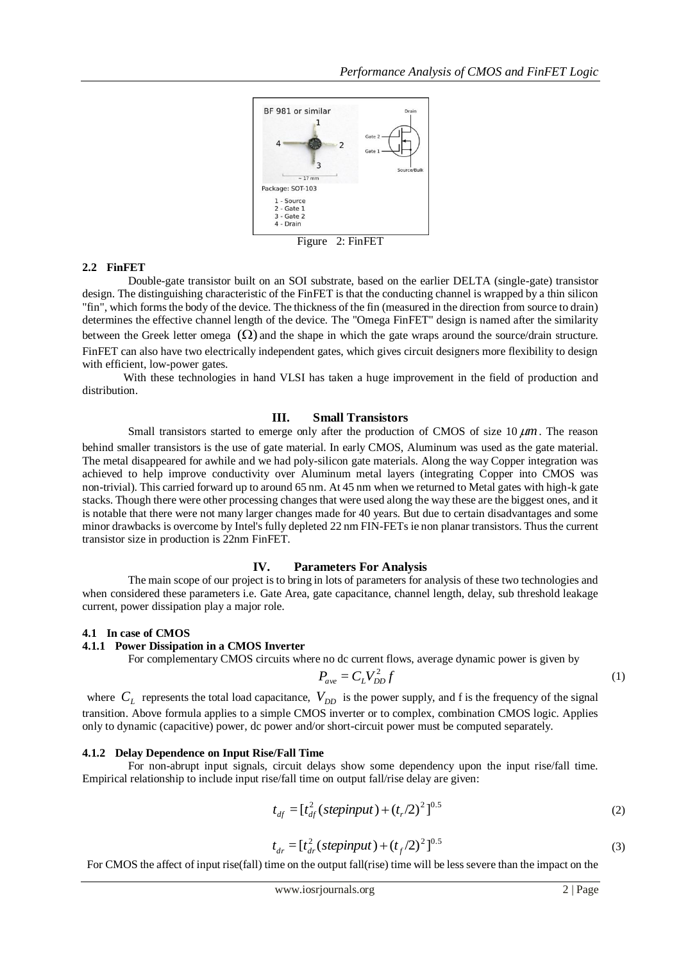

Figure 2: FinFET

#### **2.2 FinFET**

Double-gate transistor built on an SOI substrate, based on the earlier DELTA (single-gate) transistor design. The distinguishing characteristic of the FinFET is that the conducting channel is wrapped by a thin silicon "fin", which forms the body of the device. The thickness of the fin (measured in the direction from source to drain) determines the effective channel length of the device. The "Omega FinFET" design is named after the similarity between the Greek letter omega  $(\Omega)$  and the shape in which the gate wraps around the source/drain structure. FinFET can also have two electrically independent gates, which gives circuit designers more flexibility to design with efficient, low-power gates.

With these technologies in hand VLSI has taken a huge improvement in the field of production and distribution.

# **III. Small Transistors**

Small transistors started to emerge only after the production of CMOS of size 10  $\mu$ m. The reason

behind smaller transistors is the use of gate material. In early CMOS, Aluminum was used as the gate material. The metal disappeared for awhile and we had poly-silicon gate materials. Along the way Copper integration was achieved to help improve conductivity over Aluminum metal layers (integrating Copper into CMOS was non-trivial). This carried forward up to around 65 nm. At 45 nm when we returned to Metal gates with high-k gate stacks. Though there were other processing changes that were used along the way these are the biggest ones, and it is notable that there were not many larger changes made for 40 years. But due to certain disadvantages and some minor drawbacks is overcome by Intel's fully depleted 22 nm FIN-FETs ie non planar transistors. Thus the current transistor size in production is 22nm FinFET.

# **IV. Parameters For Analysis**

The main scope of our project is to bring in lots of parameters for analysis of these two technologies and when considered these parameters i.e. Gate Area, gate capacitance, channel length, delay, sub threshold leakage current, power dissipation play a major role.

#### **4.1 In case of CMOS**

#### **4.1.1 Power Dissipation in a CMOS Inverter**

For complementary CMOS circuits where no dc current flows, average dynamic power is given by

$$
P_{ave} = C_L V_{DD}^2 f
$$

where  $C_L$  represents the total load capacitance,  $V_{DD}$  is the power supply, and f is the frequency of the signal transition. Above formula applies to a simple CMOS inverter or to complex, combination CMOS logic. Applies only to dynamic (capacitive) power, dc power and/or short-circuit power must be computed separately.

#### **4.1.2 Delay Dependence on Input Rise/Fall Time**

For non-abrupt input signals, circuit delays show some dependency upon the input rise/fall time. Empirical relationship to include input rise/fall time on output fall/rise delay are given:

$$
t_{df} = [t_{df}^{2} (step input) + (t_{r}/2)^{2}]^{0.5}
$$
 (2)

$$
t_{dr} = [t_{dr}^{2}(step input) + (t_{f}/2)^{2}]^{0.5}
$$
\n(3)

For CMOS the affect of input rise(fall) time on the output fall(rise) time will be less severe than the impact on the

(1)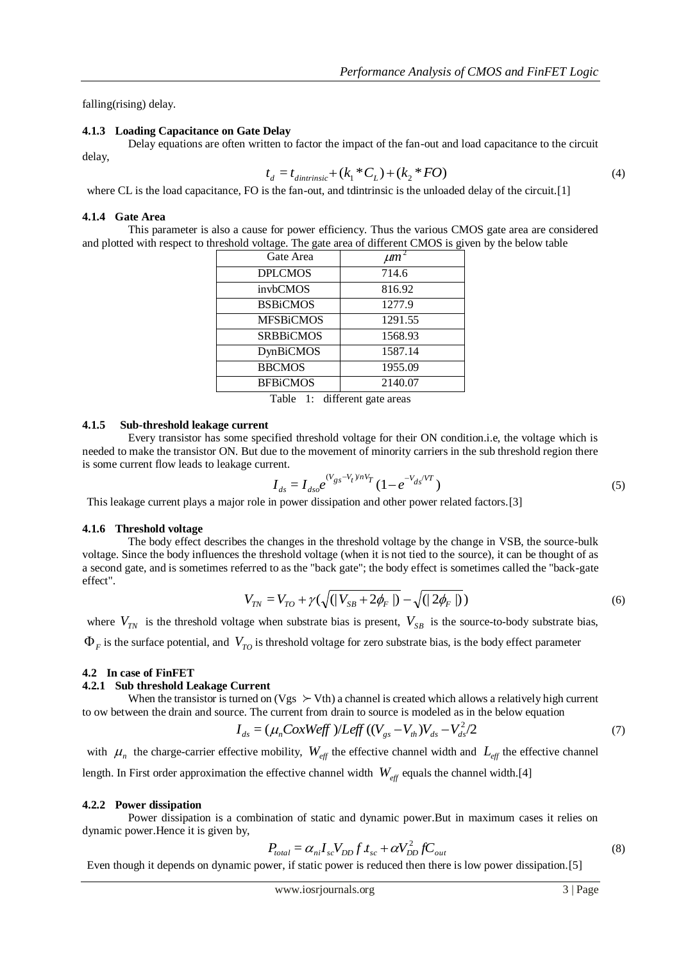falling(rising) delay.

# **4.1.3 Loading Capacitance on Gate Delay**

Delay equations are often written to factor the impact of the fan-out and load capacitance to the circuit

delay,

$$
t_d = t_{\text{dintrinsic}} + (k_1 \,^* C_L) + (k_2 \,^* FO) \tag{4}
$$

where CL is the load capacitance, FO is the fan-out, and tdintrinsic is the unloaded delay of the circuit.[1]

# **4.1.4 Gate Area**

This parameter is also a cause for power efficiency. Thus the various CMOS gate area are considered and plotted with respect to threshold voltage. The gate area of different CMOS is given by the below table

| Gate Area        | $\mu m^2$ |
|------------------|-----------|
| <b>DPLCMOS</b>   | 714.6     |
| invbCMOS         | 816.92    |
| <b>BSBiCMOS</b>  | 1277.9    |
| <b>MFSBiCMOS</b> | 1291.55   |
| <b>SRBBiCMOS</b> | 1568.93   |
| <b>DynBiCMOS</b> | 1587.14   |
| <b>BBCMOS</b>    | 1955.09   |
| <b>BFBiCMOS</b>  | 2140.07   |
| $\cdots$<br>---  |           |

Table 1: different gate areas

#### **4.1.5 Sub-threshold leakage current**

Every transistor has some specified threshold voltage for their ON condition.i.e, the voltage which is needed to make the transistor ON. But due to the movement of minority carriers in the sub threshold region there is some current flow leads to leakage current.

$$
I_{ds} = I_{dso} e^{(V_{gs} - V_t)/nV_T} (1 - e^{-V_{ds}/VT})
$$
\n(5)

This leakage current plays a major role in power dissipation and other power related factors.[3]

#### **4.1.6 Threshold voltage**

The body effect describes the changes in the threshold voltage by the change in VSB, the source-bulk voltage. Since the body influences the threshold voltage (when it is not tied to the source), it can be thought of as a second gate, and is sometimes referred to as the "back gate"; the body effect is sometimes called the "back-gate effect".

$$
V_{TN} = V_{TO} + \gamma \left( \sqrt{(|V_{SB} + 2\phi_F|)} - \sqrt{(|2\phi_F|)} \right)
$$
 (6)

where  $V_{TN}$  is the threshold voltage when substrate bias is present,  $V_{SB}$  is the source-to-body substrate bias,  $\Phi_F$  is the surface potential, and  $V_{TO}$  is threshold voltage for zero substrate bias, is the body effect parameter

#### **4.2 In case of FinFET**

#### **4.2.1 Sub threshold Leakage Current**

When the transistor is turned on (Vgs  $\succ$  Vth) a channel is created which allows a relatively high current to ow between the drain and source. The current from drain to source is modeled as in the below equation

$$
I_{ds} = (\mu_n \text{CoxWeff})/L_{\text{eff}}((V_{gs} - V_{th})V_{ds} - V_{ds}^2/2)
$$
\n(7)

with  $\mu_n$  the charge-carrier effective mobility,  $W_{\text{eff}}$  the effective channel width and  $L_{\text{eff}}$  the effective channel length. In First order approximation the effective channel width  $W_{\text{eff}}$  equals the channel width.[4]

#### **4.2.2 Power dissipation**

Power dissipation is a combination of static and dynamic power.But in maximum cases it relies on dynamic power.Hence it is given by,

$$
P_{total} = \alpha_{ni} I_{sc} V_{DD} f t_{sc} + \alpha V_{DD}^2 f C_{out}
$$
\n(8)

Even though it depends on dynamic power, if static power is reduced then there is low power dissipation.[5]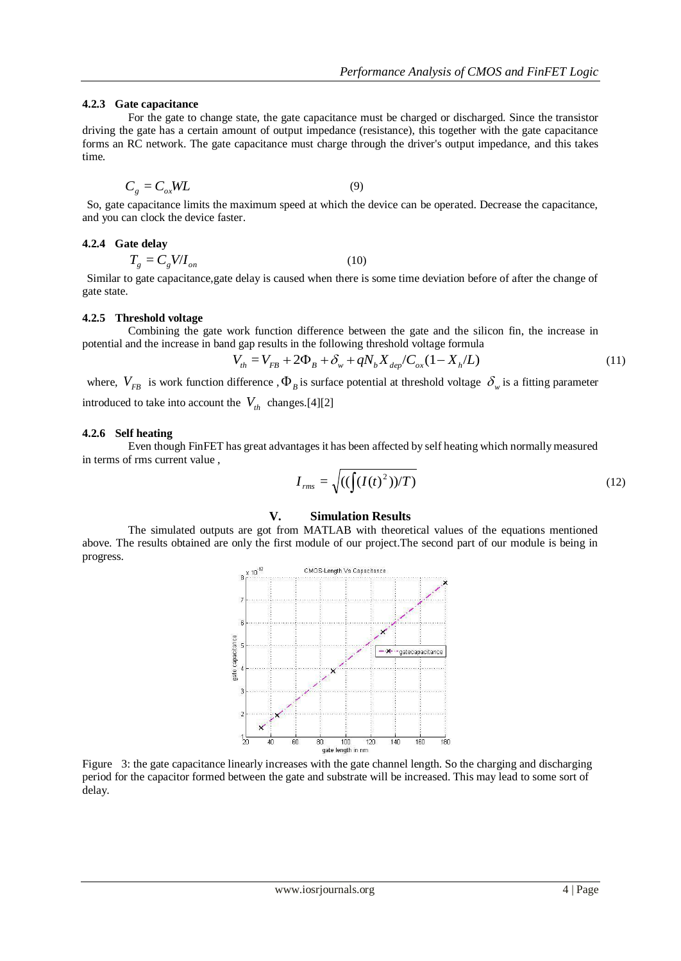# **4.2.3 Gate capacitance**

$$
C_g = C_{ox} WL \tag{9}
$$

So, gate capacitance limits the maximum speed at which the device can be operated. Decrease the capacitance, and you can clock the device faster.

#### **4.2.4 Gate delay**

$$
T_g = C_g V/I_{on} \tag{10}
$$

Similar to gate capacitance,gate delay is caused when there is some time deviation before of after the change of gate state.

#### **4.2.5 Threshold voltage**

Combining the gate work function difference between the gate and the silicon fin, the increase in potential and the increase in band gap results in the following threshold voltage formula

$$
V_{th} = V_{FB} + 2\Phi_B + \delta_w + qN_b X_{dep}/C_{ox}(1 - X_h/L)
$$
 (11)

where,  $V_{FB}$  is work function difference,  $\Phi_B$  is surface potential at threshold voltage  $\delta_w$  is a fitting parameter introduced to take into account the  $V_{th}$  changes.[4][2]

#### **4.2.6 Self heating**

Even though FinFET has great advantages it has been affected by self heating which normally measured in terms of rms current value ,

$$
I_{rms} = \sqrt{((\int (I(t)^2))/T)}
$$
\n(12)

# **V. Simulation Results**

The simulated outputs are got from MATLAB with theoretical values of the equations mentioned above. The results obtained are only the first module of our project.The second part of our module is being in progress.



Figure 3: the gate capacitance linearly increases with the gate channel length. So the charging and discharging period for the capacitor formed between the gate and substrate will be increased. This may lead to some sort of delay.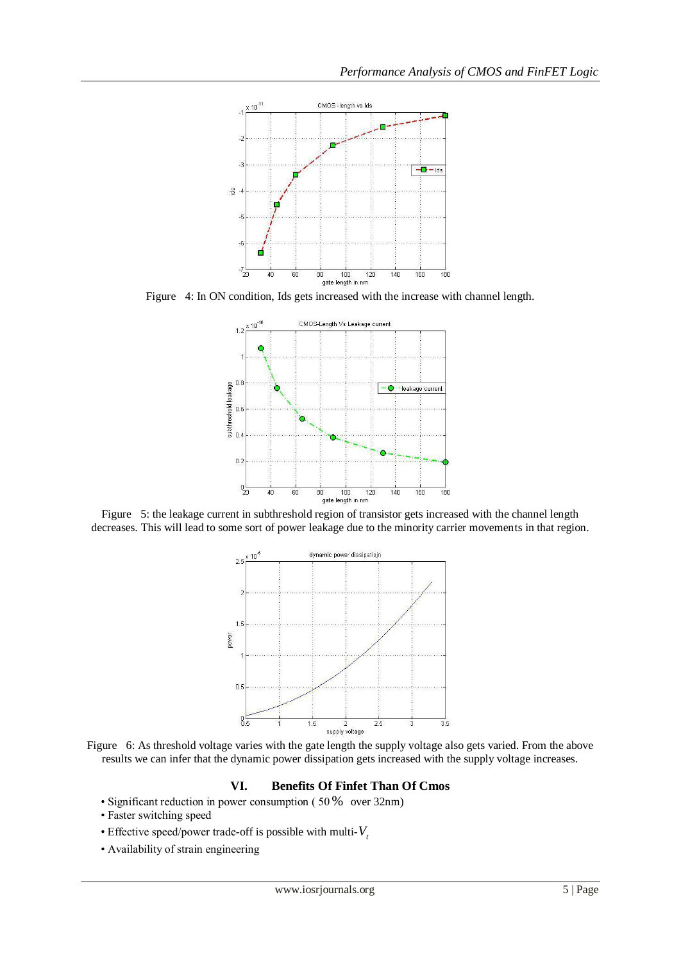

Figure 4: In ON condition, Ids gets increased with the increase with channel length.



Figure 5: the leakage current in subthreshold region of transistor gets increased with the channel length decreases. This will lead to some sort of power leakage due to the minority carrier movements in that region.



Figure 6: As threshold voltage varies with the gate length the supply voltage also gets varied. From the above results we can infer that the dynamic power dissipation gets increased with the supply voltage increases.

# **VI. Benefits Of Finfet Than Of Cmos**

- Significant reduction in power consumption ( 50 % over 32nm)
	- Faster switching speed
	- Effective speed/power trade-off is possible with multi- $V_t$
	- Availability of strain engineering